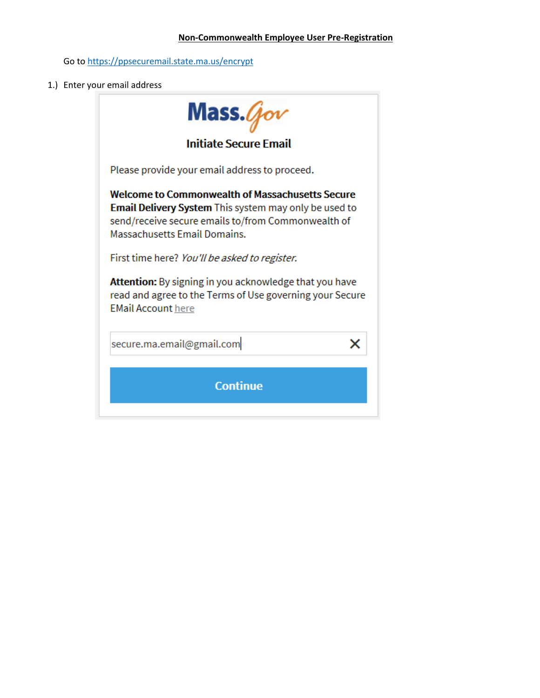## **Non-Commonwealth Employee User Pre-Registration**

Go to<https://ppsecuremail.state.ma.us/encrypt>

1.) Enter your email address

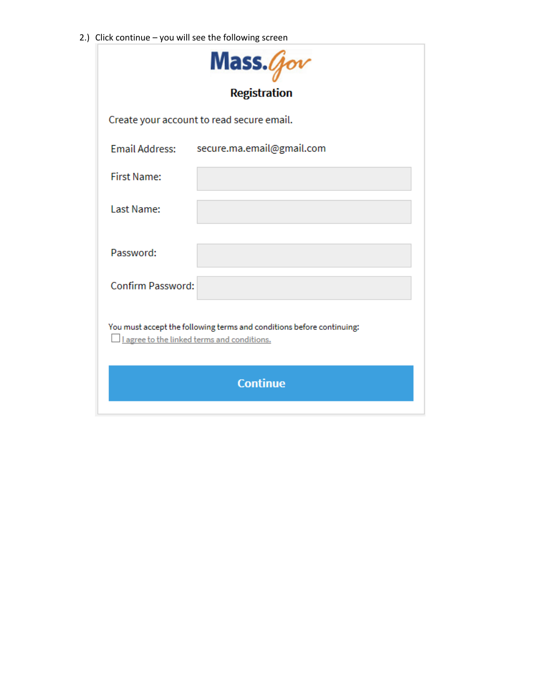2.) Click continue – you will see the following screen

| Mass.Gov                                                                                                             |  |  |
|----------------------------------------------------------------------------------------------------------------------|--|--|
| <b>Registration</b>                                                                                                  |  |  |
| Create your account to read secure email.                                                                            |  |  |
| <b>Email Address:</b><br>secure.ma.email@gmail.com                                                                   |  |  |
| <b>First Name:</b>                                                                                                   |  |  |
| Last Name:                                                                                                           |  |  |
| Password:                                                                                                            |  |  |
| <b>Confirm Password:</b>                                                                                             |  |  |
| You must accept the following terms and conditions before continuing:<br>I agree to the linked terms and conditions. |  |  |
| <b>Continue</b>                                                                                                      |  |  |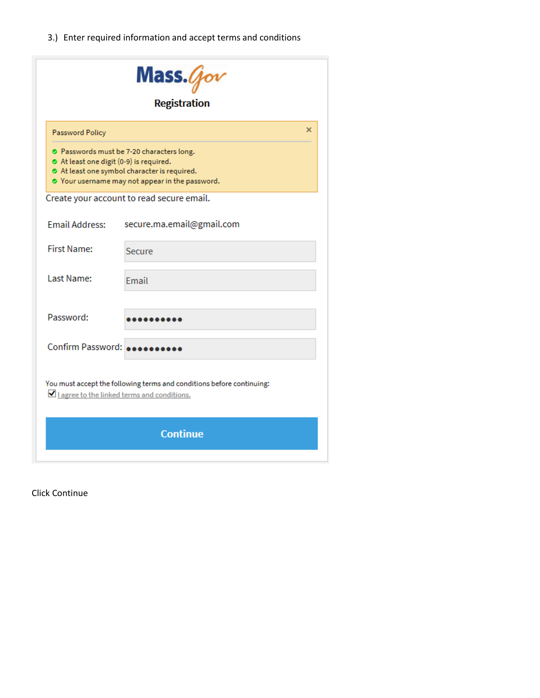3.) Enter required information and accept terms and conditions

|                                                                                                                                                                                     | Mass. $q_{ov}$                            |   |  |
|-------------------------------------------------------------------------------------------------------------------------------------------------------------------------------------|-------------------------------------------|---|--|
|                                                                                                                                                                                     | <b>Registration</b>                       |   |  |
| Password Policy                                                                                                                                                                     |                                           | × |  |
| ⊙ Passwords must be 7-20 characters long.<br>At least one digit (0-9) is required.<br>At least one symbol character is required.<br>O Your username may not appear in the password. |                                           |   |  |
|                                                                                                                                                                                     | Create your account to read secure email. |   |  |
| <b>Email Address:</b>                                                                                                                                                               | secure.ma.email@gmail.com                 |   |  |
| <b>First Name:</b>                                                                                                                                                                  | Secure                                    |   |  |
| Last Name:                                                                                                                                                                          | <b>Fmail</b>                              |   |  |
| Password:                                                                                                                                                                           |                                           |   |  |
| Confirm Password:                                                                                                                                                                   |                                           |   |  |
| You must accept the following terms and conditions before continuing:<br>I agree to the linked terms and conditions.                                                                |                                           |   |  |
| <b>Continue</b>                                                                                                                                                                     |                                           |   |  |

Click Continue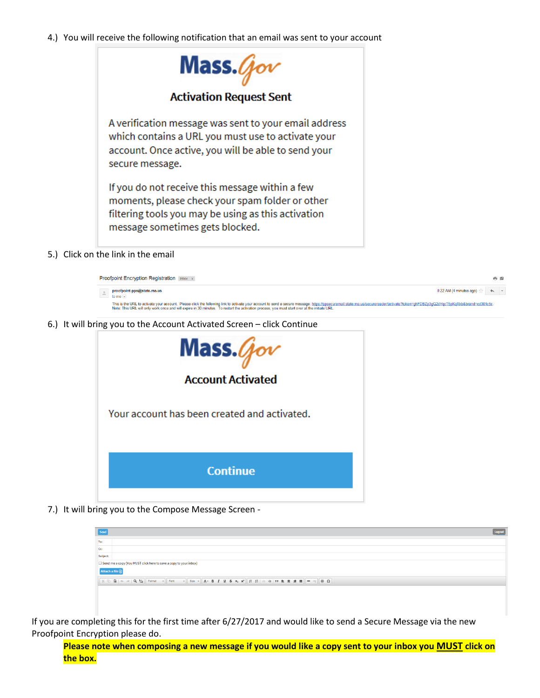## 4.) You will receive the following notification that an email was sent to your account



5.) Click on the link in the email

| <b>Proofpoint Encryption Registration</b> Inbox x                                                                                                                                                                                                                                                                                                                               |                                                                       | a z |  |
|---------------------------------------------------------------------------------------------------------------------------------------------------------------------------------------------------------------------------------------------------------------------------------------------------------------------------------------------------------------------------------|-----------------------------------------------------------------------|-----|--|
| proofpoint-pps@state.ma.us<br>to me $\vert \mathbf{v} \vert$                                                                                                                                                                                                                                                                                                                    | 8:22 AM (4 minutes ago) $\frac{1}{2}$ $\leftrightarrow$ $\rightarrow$ |     |  |
| This is the URL to activate your account. Please click the following link to activate your account to send a secure message: https://ppsecuremail.state.ma.us/securereader/activate?token=ghFDBZp3gQ2sVgcT5pKgRkb&brand=cd301c<br>Note: This URL will only work once and will expire in 30 minutes. To restart the activation process, you must start over at the initiate URL. |                                                                       |     |  |

6.) It will bring you to the Account Activated Screen – click Continue



7.) It will bring you to the Compose Message Screen -

| Send            |                                                                   |  | Logout |
|-----------------|-------------------------------------------------------------------|--|--------|
| To:             |                                                                   |  |        |
| Cc:             |                                                                   |  |        |
| Subject:        |                                                                   |  |        |
|                 | Send me a copy (You MUST click here to save a copy to your inbox) |  |        |
| Attach a file ( |                                                                   |  |        |
|                 |                                                                   |  |        |
|                 |                                                                   |  |        |
|                 |                                                                   |  |        |
|                 |                                                                   |  |        |
|                 |                                                                   |  |        |

If you are completing this for the first time after 6/27/2017 and would like to send a Secure Message via the new Proofpoint Encryption please do.

**Please note when composing a new message if you would like a copy sent to your inbox you MUST click on the box.**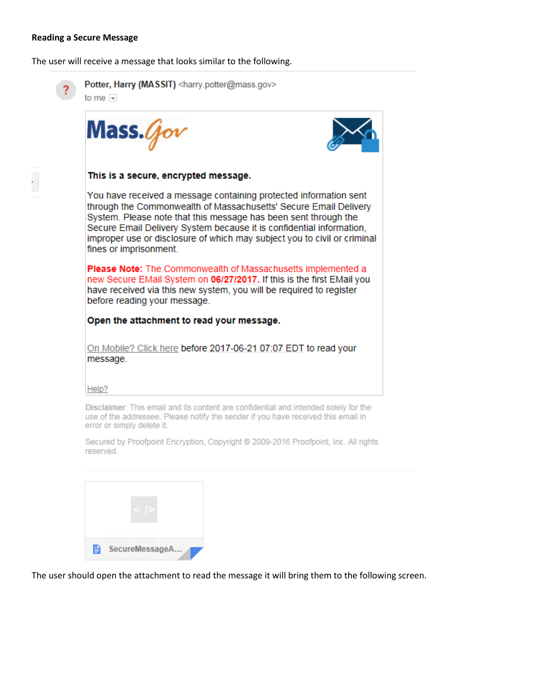#### **Reading a Secure Message**

The user will receive a message that looks similar to the following.



Potter, Harry (MASSIT) <harry.potter@mass.gov> to me  $\boxed{\mathbf{v}}$ 

Mass.4



## This is a secure, encrypted message.

You have received a message containing protected information sent through the Commonwealth of Massachusetts' Secure Email Delivery System. Please note that this message has been sent through the Secure Email Delivery System because it is confidential information, improper use or disclosure of which may subject you to civil or criminal fines or imprisonment.

Please Note: The Commonwealth of Massachusetts implemented a new Secure EMail System on 06/27/2017. If this is the first EMail you have received via this new system, you will be required to register before reading your message.

# Open the attachment to read your message.

On Mobile? Click here before 2017-06-21 07:07 EDT to read your message.

#### Help?

Disclaimer: This email and its content are confidential and intended solely for the use of the addressee. Please notify the sender if you have received this email in error or simply delete it.

Secured by Proofpoint Encryption, Copyright @ 2009-2016 Proofpoint, Inc. All rights reserved.



The user should open the attachment to read the message it will bring them to the following screen.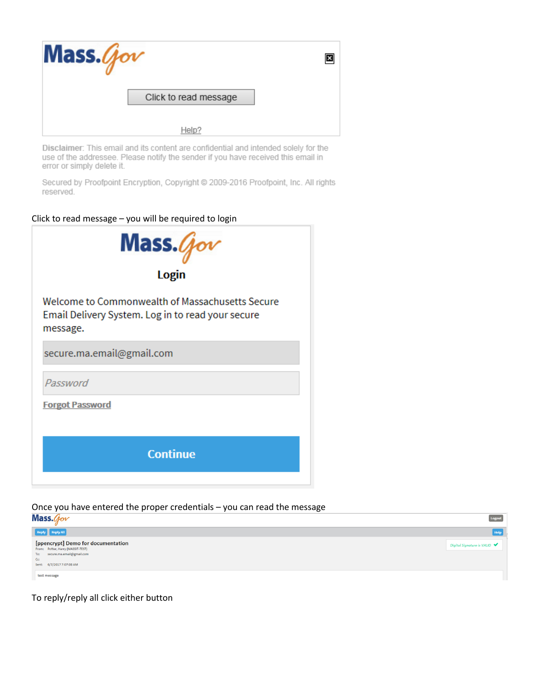

Disclaimer: This email and its content are confidential and intended solely for the use of the addressee. Please notify the sender if you have received this email in error or simply delete it.

Secured by Proofpoint Encryption, Copyright @ 2009-2016 Proofpoint, Inc. All rights reserved.

Click to read message – you will be required to login



Once you have entered the proper credentials – you can read the message



To reply/reply all click either button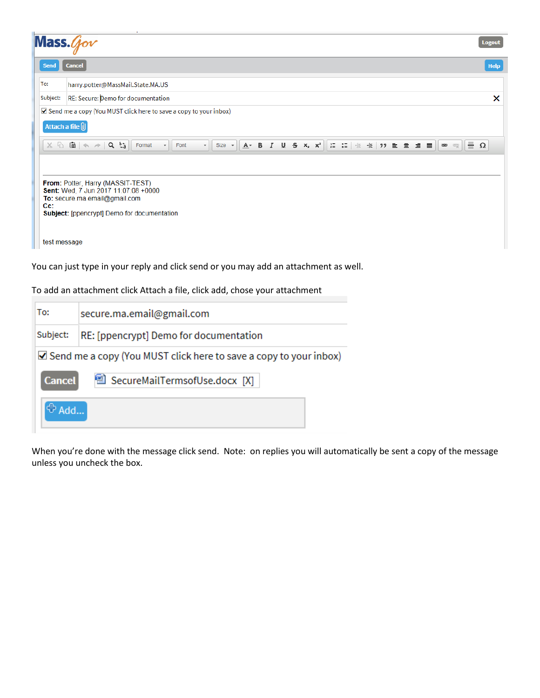| Mass.                                                                                                                                                                   | <b>Logout</b>                                                                                                                                                                                                                                                                                                                                                          |  |  |
|-------------------------------------------------------------------------------------------------------------------------------------------------------------------------|------------------------------------------------------------------------------------------------------------------------------------------------------------------------------------------------------------------------------------------------------------------------------------------------------------------------------------------------------------------------|--|--|
| <b>Send</b>                                                                                                                                                             | <b>Cancel</b><br><b>Help</b>                                                                                                                                                                                                                                                                                                                                           |  |  |
| To:                                                                                                                                                                     | harry.potter@MassMail.State.MA.US                                                                                                                                                                                                                                                                                                                                      |  |  |
| Subject:                                                                                                                                                                | RE: Secure: Demo for documentation<br>×                                                                                                                                                                                                                                                                                                                                |  |  |
|                                                                                                                                                                         | Attach a file U<br>$\equiv \Omega$<br>$X \nightharpoonup G$ $\Rightarrow$ $\mid$ $\triangle$ $\Rightarrow$ $\mid$ $\triangle$ $\Rightarrow$ $\mid$<br>15 : 1 《 雅 》 로 호 호 로 ]<br>$A - B$ <i>I</i><br>$\underline{U}$ 5 $x_e$ $x_e$<br>Format<br>Font<br>$\overline{\phantom{0}}$<br>Size $\sim$<br>$\big $ $\bigcirc$ $\bigcirc$ $\bigcirc$<br>$\overline{\phantom{a}}$ |  |  |
| From: Potter, Harry (MASSIT-TEST)<br>Sent: Wed, 7 Jun 2017 11:07:08 +0000<br>To: secure.ma.email@gmail.com<br>Cc:<br><b>Subject:</b> [ppencrypt] Demo for documentation |                                                                                                                                                                                                                                                                                                                                                                        |  |  |
|                                                                                                                                                                         | test message                                                                                                                                                                                                                                                                                                                                                           |  |  |

To add an attachment click Attach a file, click add, chose your attachment

| To:                                                                                     | secure.ma.email@gmail.com              |  |  |
|-----------------------------------------------------------------------------------------|----------------------------------------|--|--|
| Subject:                                                                                | RE: [ppencrypt] Demo for documentation |  |  |
| $\blacktriangleright$ Send me a copy (You MUST click here to save a copy to your inbox) |                                        |  |  |
| <b>Cancel</b>                                                                           | ■ SecureMailTermsofUse.docx [X]        |  |  |
| $\bigoplus$ Add                                                                         |                                        |  |  |

When you're done with the message click send. Note: on replies you will automatically be sent a copy of the message unless you uncheck the box.